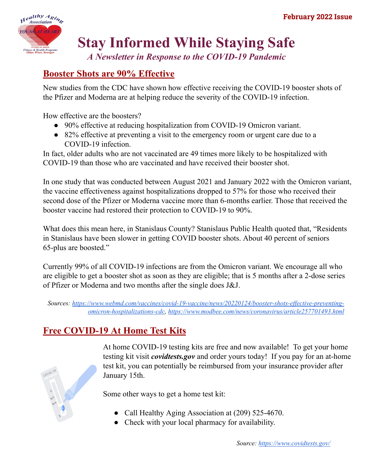

# **Stay Informed While Staying Safe**

*A Newsletter in Response to the COVID-19 Pandemic*

# **Booster Shots are 90% Effective**

New studies from the CDC have shown how effective receiving the COVID-19 booster shots of the Pfizer and Moderna are at helping reduce the severity of the COVID-19 infection.

How effective are the boosters?

- 90% effective at reducing hospitalization from COVID-19 Omicron variant.
- 82% effective at preventing a visit to the emergency room or urgent care due to a COVID-19 infection.

In fact, older adults who are not vaccinated are 49 times more likely to be hospitalized with COVID-19 than those who are vaccinated and have received their booster shot.

In one study that was conducted between August 2021 and January 2022 with the Omicron variant, the vaccine effectiveness against hospitalizations dropped to 57% for those who received their second dose of the Pfizer or Moderna vaccine more than 6-months earlier. Those that received the booster vaccine had restored their protection to COVID-19 to 90%.

What does this mean here, in Stanislaus County? Stanislaus Public Health quoted that, "Residents in Stanislaus have been slower in getting COVID booster shots. About 40 percent of seniors 65-plus are boosted."

Currently 99% of all COVID-19 infections are from the Omicron variant. We encourage all who are eligible to get a booster shot as soon as they are eligible; that is 5 months after a 2-dose series of Pfizer or Moderna and two months after the single does J&J.

Sources: [https://www.webmd.com/vaccines/covid-19-vaccine/news/20220124/booster-shots-ef](https://www.webmd.com/vaccines/covid-19-vaccine/news/20220124/booster-shots-effective-preventing-omicron-hospitalizations-cdc)fective-preventing*[omicron-hospitalizations-cdc,](https://www.webmd.com/vaccines/covid-19-vaccine/news/20220124/booster-shots-effective-preventing-omicron-hospitalizations-cdc) <https://www.modbee.com/news/coronavirus/article257701493.html>*

# **Free COVID-19 At Home Test Kits**



At home COVID-19 testing kits are free and now available! To get your home testing kit visit *covidtests.gov* and order yours today! If you pay for an at-home test kit, you can potentially be reimbursed from your insurance provider after January 15th.

Some other ways to get a home test kit:

- Call Healthy Aging Association at (209) 525-4670.
- Check with your local pharmacy for availability.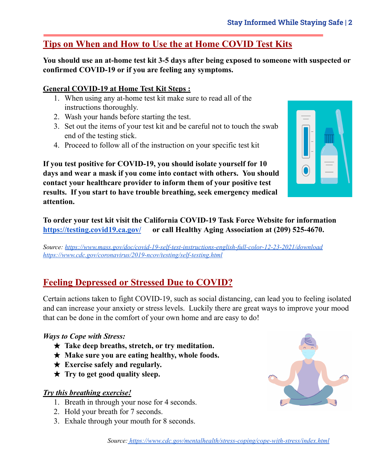## **Tips on When and How to Use the at Home COVID Test Kits**

**You should use an at-home test kit 3-5 days after being exposed to someone with suspected or confirmed COVID-19 or if you are feeling any symptoms.**

#### **General COVID-19 at Home Test Kit Steps :**

- 1. When using any at-home test kit make sure to read all of the instructions thoroughly.
- 2. Wash your hands before starting the test.
- 3. Set out the items of your test kit and be careful not to touch the swab end of the testing stick.
- 4. Proceed to follow all of the instruction on your specific test kit



**If you test positive for COVID-19, you should isolate yourself for 10 days and wear a mask if you come into contact with others. You should contact your healthcare provider to inform them of your positive test results. If you start to have trouble breathing, seek emergency medical attention.**

**To order your test kit visit the California COVID-19 Task Force Website for information <https://testing.covid19.ca.gov/> or call Healthy Aging Association at (209) 525-4670.**

*Source: <https://www.mass.gov/doc/covid-19-self-test-instructions-english-full-color-12-23-2021/download> <https://www.cdc.gov/coronavirus/2019-ncov/testing/self-testing.html>*

### **Feeling Depressed or Stressed Due to COVID?**

Certain actions taken to fight COVID-19, such as social distancing, can lead you to feeling isolated and can increase your anxiety or stress levels. Luckily there are great ways to improve your mood that can be done in the comfort of your own home and are easy to do!

#### *Ways to Cope with Stress:*

- ★ **Take deep breaths, stretch, or try meditation.**
- ★ **Make sure you are eating healthy, whole foods.**
- ★ **Exercise safely and regularly.**
- ★ **Try to get good quality sleep.**

#### *Try this breathing exercise!*

- 1. Breath in through your nose for 4 seconds.
- 2. Hold your breath for 7 seconds.
- 3. Exhale through your mouth for 8 seconds.

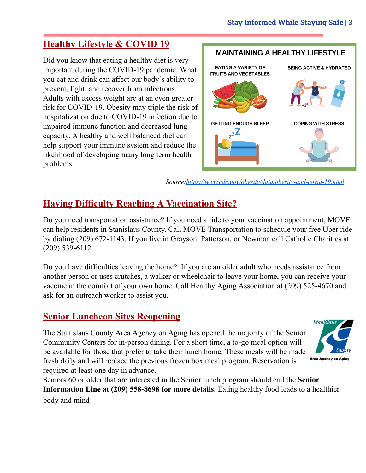# **Healthy Lifestyle & COVID 19**

Did you know that eating a healthy diet is very important during the COVID-19 pandemic. What you eat and drink can affect our body's ability to prevent, fight, and recover from infections. Adults with excess weight are at an even greater risk for COVID-19. Obesity may triple the risk of hospitalization due to COVID-19 infection due to impaired immune function and decreased lung capacity. A healthy and well balanced diet can help support your immune system and reduce the likelihood of developing many long term health problems.



*Source[:https://www.cdc.gov/obesity/data/obesity-and-covid-19.html](https://www.cdc.gov/obesity/data/obesity-and-covid-19.html)*

# **Having Difficulty Reaching A Vaccination Site?**

Do you need transportation assistance? If you need a ride to your vaccination appointment, MOVE can help residents in Stanislaus County. Call MOVE Transportation to schedule your free Uber ride by dialing (209) 672-1143. If you live in Grayson, Patterson, or Newman call Catholic Charities at (209) 539-6112.

Do you have difficulties leaving the home? If you are an older adult who needs assistance from another person or uses crutches, a walker or wheelchair to leave your home, you can receive your vaccine in the comfort of your own home. Call Healthy Aging Association at (209) 525-4670 and ask for an outreach worker to assist you.

### **Senior Luncheon Sites Reopening**

The Stanislaus County Area Agency on Aging has opened the majority of the Senior Community Centers for in-person dining. For a short time, a to-go meal option will be available for those that prefer to take their lunch home. These meals will be made fresh daily and will replace the previous frozen box meal program. Reservation is required at least one day in advance.



Seniors 60 or older that are interested in the Senior lunch program should call the **Senior Information Line at (209) 558-8698 for more details.** Eating healthy food leads to a healthier body and mind!